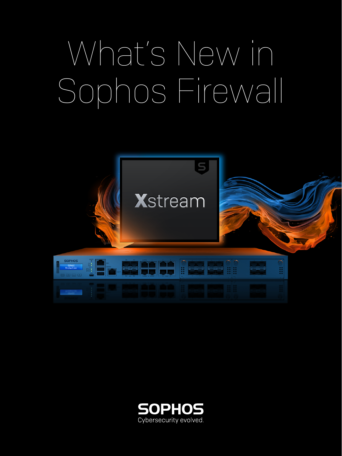# What's New in Sophos Firewall



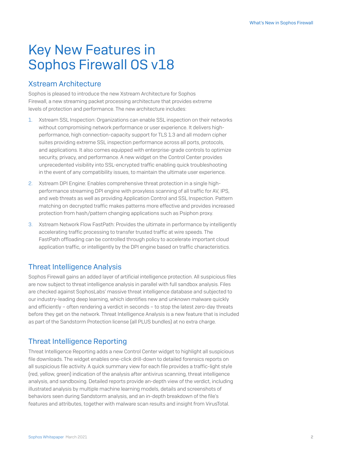# Key New Features in Sophos Firewall OS v18

# Xstream Architecture

Sophos is pleased to introduce the new Xstream Architecture for Sophos Firewall, a new streaming packet processing architecture that provides extreme levels of protection and performance. The new architecture includes:

- 1. Xstream SSL Inspection: Organizations can enable SSL inspection on their networks without compromising network performance or user experience. It delivers highperformance, high connection-capacity support for TLS 1.3 and all modern cipher suites providing extreme SSL inspection performance across all ports, protocols, and applications. It also comes equipped with enterprise-grade controls to optimize security, privacy, and performance. A new widget on the Control Center provides unprecedented visibility into SSL-encrypted traffic enabling quick troubleshooting in the event of any compatibility issues, to maintain the ultimate user experience.
- 2. Xstream DPI Engine: Enables comprehensive threat protection in a single highperformance streaming DPI engine with proxyless scanning of all traffic for AV, IPS, and web threats as well as providing Application Control and SSL Inspection. Pattern matching on decrypted traffic makes patterns more effective and provides increased protection from hash/pattern changing applications such as Psiphon proxy.
- 3. Xstream Network Flow FastPath: Provides the ultimate in performance by intelligently accelerating traffic processing to transfer trusted traffic at wire speeds. The FastPath offloading can be controlled through policy to accelerate important cloud application traffic, or intelligently by the DPI engine based on traffic characteristics.

# Threat Intelligence Analysis

Sophos Firewall gains an added layer of artificial intelligence protection. All suspicious files are now subject to threat intelligence analysis in parallel with full sandbox analysis. Files are checked against SophosLabs' massive threat intelligence database and subjected to our industry-leading deep learning, which identifies new and unknown malware quickly and efficiently – often rendering a verdict in seconds – to stop the latest zero-day threats before they get on the network. Threat Intelligence Analysis is a new feature that is included as part of the Sandstorm Protection license (all PLUS bundles) at no extra charge.

# Threat Intelligence Reporting

Threat Intelligence Reporting adds a new Control Center widget to highlight all suspicious file downloads. The widget enables one-click drill-down to detailed forensics reports on all suspicious file activity. A quick summary view for each file provides a traffic-light style (red, yellow, green) indication of the analysis after antivirus scanning, threat intelligence analysis, and sandboxing. Detailed reports provide an-depth view of the verdict, including illustrated analysis by multiple machine learning models, details and screenshots of behaviors seen during Sandstorm analysis, and an in-depth breakdown of the file's features and attributes, together with malware scan results and insight from VirusTotal.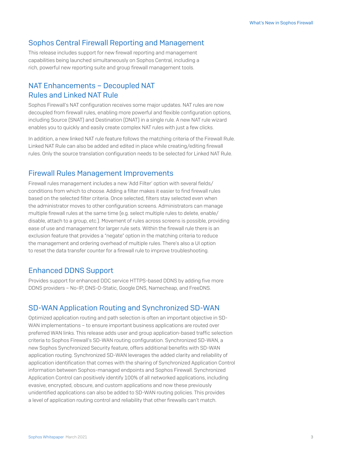#### Sophos Central Firewall Reporting and Management

This release includes support for new firewall reporting and management capabilities being launched simultaneously on Sophos Central, including a rich, powerful new reporting suite and group firewall management tools.

# NAT Enhancements – Decoupled NAT Rules and Linked NAT Rule

Sophos Firewall's NAT configuration receives some major updates. NAT rules are now decoupled from firewall rules, enabling more powerful and flexible configuration options, including Source (SNAT) and Destination (DNAT) in a single rule. A new NAT rule wizard enables you to quickly and easily create complex NAT rules with just a few clicks.

In addition, a new linked NAT rule feature follows the matching criteria of the Firewall Rule. Linked NAT Rule can also be added and edited in place while creating/editing firewall rules. Only the source translation configuration needs to be selected for Linked NAT Rule.

#### Firewall Rules Management Improvements

Firewall rules management includes a new 'Add Filter' option with several fields/ conditions from which to choose. Adding a filter makes it easier to find firewall rules based on the selected filter criteria. Once selected, filters stay selected even when the administrator moves to other configuration screens. Administrators can manage multiple firewall rules at the same time (e.g. select multiple rules to delete, enable/ disable, attach to a group, etc.). Movement of rules across screens is possible, providing ease of use and management for larger rule sets. Within the firewall rule there is an exclusion feature that provides a "negate" option in the matching criteria to reduce the management and ordering overhead of multiple rules. There's also a UI option to reset the data transfer counter for a firewall rule to improve troubleshooting.

# Enhanced DDNS Support

Provides support for enhanced DDC service HTTPS-based DDNS by adding five more DDNS providers – No-IP, DNS-O-Static, Google DNS, Namecheap, and FreeDNS.

#### SD-WAN Application Routing and Synchronized SD-WAN

Optimized application routing and path selection is often an important objective in SD-WAN implementations – to ensure important business applications are routed over preferred WAN links. This release adds user and group application-based traffic selection criteria to Sophos Firewall's SD-WAN routing configuration. Synchronized SD-WAN, a new Sophos Synchronized Security feature, offers additional benefits with SD-WAN application routing. Synchronized SD-WAN leverages the added clarity and reliability of application identification that comes with the sharing of Synchronized Application Control information between Sophos-managed endpoints and Sophos Firewall. Synchronized Application Control can positively identify 100% of all networked applications, including evasive, encrypted, obscure, and custom applications and now these previously unidentified applications can also be added to SD-WAN routing policies. This provides a level of application routing control and reliability that other firewalls can't match.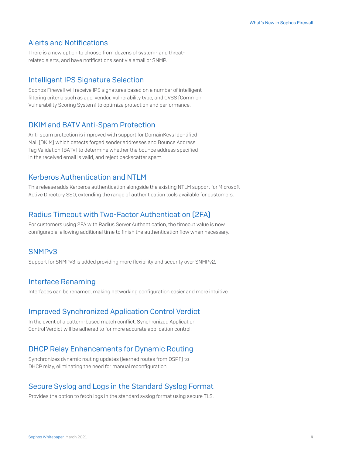# Alerts and Notifications

There is a new option to choose from dozens of system- and threatrelated alerts, and have notifications sent via email or SNMP.

#### Intelligent IPS Signature Selection

Sophos Firewall will receive IPS signatures based on a number of intelligent filtering criteria such as age, vendor, vulnerability type, and CVSS (Common Vulnerability Scoring System) to optimize protection and performance.

#### DKIM and BATV Anti-Spam Protection

Anti-spam protection is improved with support for DomainKeys Identified Mail (DKIM) which detects forged sender addresses and Bounce Address Tag Validation (BATV) to determine whether the bounce address specified in the received email is valid, and reject backscatter spam.

#### Kerberos Authentication and NTLM

This release adds Kerberos authentication alongside the existing NTLM support for Microsoft Active Directory SSO, extending the range of authentication tools available for customers.

# Radius Timeout with Two-Factor Authentication (2FA)

For customers using 2FA with Radius Server Authentication, the timeout value is now configurable, allowing additional time to finish the authentication flow when necessary.

#### SNMPv3

Support for SNMPv3 is added providing more flexibility and security over SNMPv2.

# Interface Renaming

Interfaces can be renamed, making networking configuration easier and more intuitive.

#### Improved Synchronized Application Control Verdict

In the event of a pattern-based match conflict, Synchronized Application Control Verdict will be adhered to for more accurate application control.

# DHCP Relay Enhancements for Dynamic Routing

Synchronizes dynamic routing updates (learned routes from OSPF) to DHCP relay, eliminating the need for manual reconfiguration.

# Secure Syslog and Logs in the Standard Syslog Format

Provides the option to fetch logs in the standard syslog format using secure TLS.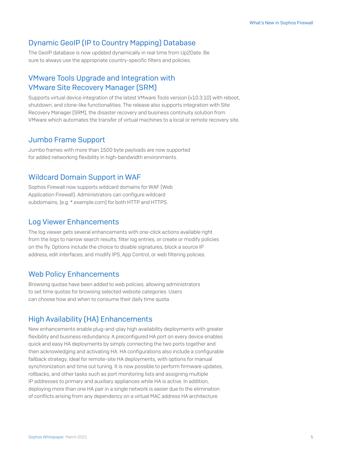#### Dynamic GeoIP (IP to Country Mapping) Database

The GeoIP database is now updated dynamically in real time from Up2Date. Be sure to always use the appropriate country-specific filters and policies.

# VMware Tools Upgrade and Integration with VMware Site Recovery Manager (SRM)

Supports virtual device integration of the latest VMware Tools version [v10.3.10] with reboot, shutdown, and clone-like functionalities. The release also supports integration with Site Recovery Manager (SRM), the disaster recovery and business continuity solution from VMware which automates the transfer of virtual machines to a local or remote recovery site.

#### Jumbo Frame Support

Jumbo frames with more than 1500 byte payloads are now supported for added networking flexibility in high-bandwidth environments.

#### Wildcard Domain Support in WAF

Sophos Firewall now supports wildcard domains for WAF (Web Application Firewall). Administrators can configure wildcard subdomains, (e.g. \*.example.com) for both HTTP and HTTPS.

#### Log Viewer Enhancements

The log viewer gets several enhancements with one-click actions available right from the logs to narrow search results, filter log entries, or create or modify policies on the fly. Options include the choice to disable signatures, block a source IP address, edit interfaces, and modify IPS, App Control, or web filtering policies.

#### Web Policy Enhancements

Browsing quotas have been added to web policies, allowing administrators to set time quotas for browsing selected website categories. Users can choose how and when to consume their daily time quota.

#### High Availability (HA) Enhancements

New enhancements enable plug-and-play high availability deployments with greater flexibility and business redundancy. A preconfigured HA port on every device enables quick and easy HA deployments by simply connecting the two ports together and then acknowledging and activating HA. HA configurations also include a configurable failback strategy, ideal for remote-site HA deployments, with options for manual synchronization and time out tuning. It is now possible to perform firmware updates, rollbacks, and other tasks such as port monitoring lists and assigning multiple IP addresses to primary and auxiliary appliances while HA is active. In addition, deploying more than one HA pair in a single network is easier due to the elimination of conflicts arising from any dependency on a virtual MAC address HA architecture.